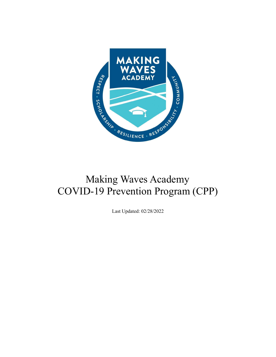

# Making Waves Academy COVID-19 Prevention Program (CPP)

Last Updated: 02/28/2022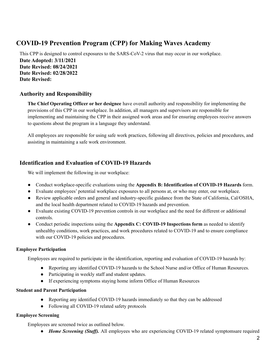## **COVID-19 Prevention Program (CPP) for Making Waves Academy**

This CPP is designed to control exposures to the SARS-CoV-2 virus that may occur in our workplace. **Date Adopted: 3/11/2021 Date Revised: 08/24/2021 Date Revised: 02/28/2022 Date Revised:**

## **Authority and Responsibility**

**The Chief Operating Officer or her designee** have overall authority and responsibility for implementing the provisions of this CPP in our workplace. In addition, all managers and supervisors are responsible for implementing and maintaining the CPP in their assigned work areas and for ensuring employees receive answers to questions about the program in a language they understand.

All employees are responsible for using safe work practices, following all directives, policies and procedures, and assisting in maintaining a safe work environment.

## **Identification and Evaluation of COVID-19 Hazards**

We will implement the following in our workplace:

- Conduct workplace-specific evaluations using the **Appendix B: Identification of COVID-19 Hazards** form.
- Evaluate employees' potential workplace exposures to all persons at, or who may enter, our workplace.
- Review applicable orders and general and industry-specific guidance from the State of California, Cal/OSHA, and the local health department related to COVID-19 hazards and prevention.
- Evaluate existing COVID-19 prevention controls in our workplace and the need for different or additional controls.
- Conduct periodic inspections using the **Appendix C: COVID-19 Inspections form** as needed to identify unhealthy conditions, work practices, and work procedures related to COVID-19 and to ensure compliance with our COVID-19 policies and procedures.

#### **Employee Participation**

Employees are required to participate in the identification, reporting and evaluation of COVID-19 hazards by:

- Reporting any identified COVID-19 hazards to the School Nurse and/or Office of Human Resources.
- Participating in weekly staff and student updates.
- If experiencing symptoms staying home inform Office of Human Resources

#### **Student and Parent Participation**

- Reporting any identified COVID-19 hazards immediately so that they can be addressed
- Following all COVID-19 related safety protocols

#### **Employee Screening**

Employees are screened twice as outlined below.

• *Home Screening (Staff)*. All employees who are experiencing COVID-19 related symptomsare required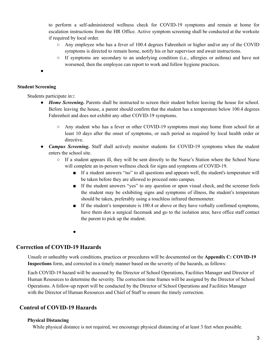to perform a self-administered wellness check for COVID-19 symptoms and remain at home for escalation instructions from the HR Office. Active symptom screening shall be conducted at the worksite if required by local order.

- Any employee who has a fever of 100.4 degrees Fahrenheit or higher and/or any of the COVID symptoms is directed to remain home, notify his or her supervisor and await instructions.
- If symptoms are secondary to an underlying condition (i.e., allergies or asthma) and have not worsened, then the employee can report to work and follow hygiene practices.

●

#### **Student Screening**

Students participate in:**:**

- *Home Screening***.** Parents shall be instructed to screen their student before leaving the house for school. Before leaving the house, a parent should confirm that the student has a temperature below 100.4 degrees Fahrenheit and does not exhibit any other COVID-19 symptoms.
	- Any student who has a fever or other COVID-19 symptoms must stay home from school for at least 10 days after the onset of symptoms, or such period as required by local health order or directive.
- *Campus Screening***.** Staff shall actively monitor students for COVID-19 symptoms when the student enters the school site.
	- If a student appears ill, they will be sent directly to the Nurse's Station where the School Nurse will complete an in-person wellness check for signs and symptoms of COVID-19.
		- If a student answers "no" to all questions and appears well, the student's temperature will be taken before they are allowed to proceed onto campus.
		- If the student answers "yes" to any question or upon visual check, and the screener feels the student may be exhibiting signs and symptoms of illness, the student's temperature should be taken, preferably using a touchless infrared thermometer.
		- If the student's temperature is 100.4 or above or they have verbally confirmed symptoms, have them don a surgical facemask and go to the isolation area; have office staff contact the parent to pick up the student.
		- **●**

#### **Correction of COVID-19 Hazards**

Unsafe or unhealthy work conditions, practices or procedures will be documented on the **Appendix C: COVID-19 Inspections** form, and corrected in a timely manner based on the severity of the hazards, as follows:

Each COVID-19 hazard will be assessed by the Director of School Operations, Facilities Manager and Director of Human Resources to determine the severity. The correction time frames will be assigned by the Director of School Operations. A follow-up report will be conducted by the Director of School Operations and Facilities Manager with the Director of Human Resources and Chief of Staff to ensure the timely correction.

## **Control of COVID-19 Hazards**

#### **Physical Distancing**

While physical distance is not required, we encourage physical distancing of at least 3 feet when possible.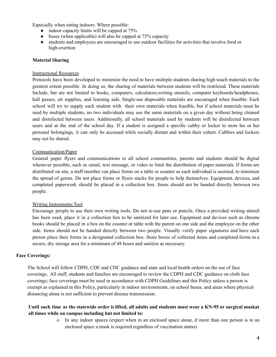Especially when eating indoors. Where possible:

- $\bullet$  indoor capacity limits will be capped at 75%
- $\bullet$  buses (when applicable) will also be capped at 75% capacity
- students and employees are encouraged to use outdoor facilities for activities that involve food or high-exertion

#### **Material Sharing**

#### Instructional Resources

Protocols have been developed to minimize the need to have multiple students sharing high touch materials to the greatest extent possible. In doing so, the sharing of materials between students will be restricted. These materials Include, but are not limited to books, computers, calculators,writing utensils, computer keyboards/headphones, hall passes, art supplies, and learning aids. Single-use disposable materials are encouraged when feasible. Each school will try to supply each student with their own materials when feasible, but if school materials must be used by multiple students, no two individuals may use the same materials on a given day without being cleaned and disinfected between users. Additionally, all school materials used by students will be disinfected between users and at the end of the school day. If a student is assigned a specific cubby or locker to store his or her personal belongings, it can only be accessed while socially distant and within their cohort. Cubbies and lockers may not be shared.

#### Communication/Paper

General paper flyers and communications to all school communities, parents and students should be digital whenever possible, such as email, text message, or video to limit the distribution of paper materials. If forms are distributed on site, a staff member can place forms on a table or counter as each individual is assisted, to minimize the spread of germs. Do not place forms or flyers stacks for people to help themselves. Equipment, devices, and completed paperwork should be placed in a collection box. Items should not be handed directly between two people.

#### Writing Instruments/Tool

Encourage people to use their own writing tools. Do not re-use pens or pencils. Once a provided writing utensil has been used, place it in a collection box to be sanitized for later use. Equipment and devices such as chrome books should be placed in a box on the counter or table with the parent on one side and the employee on the other side. Items should not be handed directly between two people. Visually verify paper signatures and have each person place their forms in a designated collection box. Store boxes of collected items and completed forms in a secure, dry storage area for a minimum of 48 hours and sanitize as necessary.

#### **Face Coverings:**

The School will follow CDPH, CDE and CDC guidance and state and local health orders on the use of face coverings. All staff, students and families are encouraged to review the CDPH and CDC guidance on cloth face coverings; face coverings must be used in accordance with CDPH Guidelines and this Policy unless a person is exempt as explained in this Policy, particularly in indoor environments, on school buses, and areas where physical distancing alone is not sufficient to prevent disease transmission.

#### Until such time as the statewide order is lifted, all adults and students must wear a KN-95 or surgical maskat **all times while on campus including but not limited to:**

o In any indoor spaces (expect when in an enclosed space alone, if more than one person is in an enclosed space a mask is required regardless of vaccination status)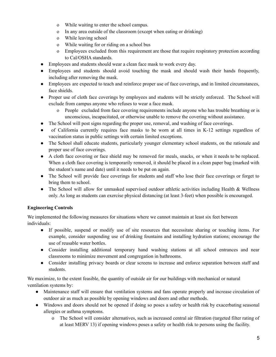- o While waiting to enter the school campus.
- o In any area outside of the classroom (except when eating or drinking)
- o While leaving school
- o While waiting for or riding on a school bus
- o Employees excluded from this requirement are those that require respiratory protection according to Cal/OSHA standards.
- Employees and students should wear a clean face mask to work every day.
- Employees and students should avoid touching the mask and should wash their hands frequently, including after removing the mask.
- Employees are expected to teach and reinforce proper use of face coverings, and in limited circumstances, face shields.
- Proper use of cloth face coverings by employees and students will be strictly enforced. The School will exclude from campus anyone who refuses to wear a face mask.
	- o People excluded from face covering requirements include anyone who has trouble breathing or is unconscious, incapacitated, or otherwise unable to remove the covering without assistance.
- The School will post signs regarding the proper use, removal, and washing of face coverings.
- of California currently requires face masks to be worn at all times in K-12 settings regardless of vaccination status in public settings with certain limited exceptions.
- The School shall educate students, particularly younger elementary school students, on the rationale and proper use of face coverings.
- A cloth face covering or face shield may be removed for meals, snacks, or when it needs to be replaced. When a cloth face covering is temporarily removed, it should be placed in a clean paper bag (marked with the student's name and date) until it needs to be put on again.
- The School will provide face coverings for students and staff who lose their face coverings or forget to bring them to school.
- The School will allow for unmasked supervised outdoor athletic activities including Health & Wellness only. As long as students can exercise physical distancing (at least 3-feet) when possible is encouraged.

## **Engineering Controls**

We implemented the following measures for situations where we cannot maintain at least six feet between individuals:

- If possible, suspend or modify use of site resources that necessitate sharing or touching items. For example, consider suspending use of drinking fountains and installing hydration stations; encourage the use of reusable water bottles.
- Consider installing additional temporary hand washing stations at all school entrances and near classrooms to minimize movement and congregation in bathrooms.
- Consider installing privacy boards or clear screens to increase and enforce separation between staff and students.

We maximize, to the extent feasible, the quantity of outside air for our buildings with mechanical or natural ventilation systems by:

- Maintenance staff will ensure that ventilation systems and fans operate properly and increase circulation of outdoor air as much as possible by opening windows and doors and other methods.
- Windows and doors should not be opened if doing so poses a safety or health risk by exacerbating seasonal allergies or asthma symptoms.
	- o The School will consider alternatives, such as increased central air filtration (targeted filter rating of at least MERV 13) if opening windows poses a safety or health risk to persons using the facility.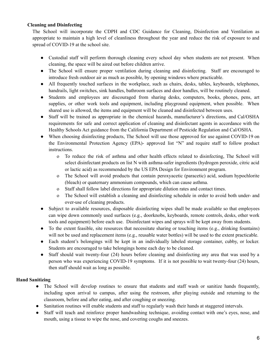#### **Cleaning and Disinfecting**

The School will incorporate the CDPH and CDC Guidance for Cleaning, Disinfection and Ventilation as appropriate to maintain a high level of cleanliness throughout the year and reduce the risk of exposure to and spread of COVID-19 at the school site.

- Custodial staff will perform thorough cleaning every school day when students are not present. When cleaning, the space will be aired out before children arrive.
- The School will ensure proper ventilation during cleaning and disinfecting. Staff are encouraged to introduce fresh outdoor air as much as possible, by opening windows where practicable.
- All frequently touched surfaces in the workplace, such as chairs, desks, tables, keyboards, telephones, handrails, light switches, sink handles, bathroom surfaces and door handles, will be routinely cleaned.
- Students and employees are discouraged from sharing desks, computers, books, phones, pens, art supplies, or other work tools and equipment, including playground equipment, when possible. When shared use is allowed, the items and equipment will be cleaned and disinfected between uses.
- Staff will be trained as appropriate in the chemical hazards, manufacturer's directions, and Cal/OSHA requirements for safe and correct application of cleaning and disinfectant agents in accordance with the Healthy Schools Act guidance from the California Department of Pesticide Regulation and Cal/OSHA.
- When choosing disinfecting products, The School will use those approved for use against COVID-19 on the Environmental Protection Agency (EPA)- approved list "N" and require staff to follow product instructions.
	- o To reduce the risk of asthma and other health effects related to disinfecting, The School will select disinfectant products on list N with asthma-safer ingredients (hydrogen peroxide, citric acid or lactic acid) as recommended by the US EPA Design for Environment program.
	- o The School will avoid products that contain peroxyacetic (paracetic) acid, sodium hypochlorite (bleach) or quaternary ammonium compounds, which can cause asthma.
	- o Staff shall follow label directions for appropriate dilution rates and contact times.
	- o The School will establish a cleaning and disinfecting schedule in order to avoid both under- and over-use of cleaning products.
- Subject to available resources, disposable disinfecting wipes shall be made available so that employees can wipe down commonly used surfaces (e.g., doorknobs, keyboards, remote controls, desks, other work tools and equipment) before each use. Disinfectant wipes and sprays will be kept away from students.
- To the extent feasible, site resources that necessitate sharing or touching items (e.g., drinking fountains) will not be used and replacement items (e.g., reusable water bottles) will be used to the extent practicable.
- Each student's belongings will be kept in an individually labeled storage container, cubby, or locker. Students are encouraged to take belongings home each day to be cleaned.
- Staff should wait twenty-four (24) hours before cleaning and disinfecting any area that was used by a person who was experiencing COVID-19 symptoms. If it is not possible to wait twenty-four (24) hours, then staff should wait as long as possible.

#### **Hand Sanitizing**

- The School will develop routines to ensure that students and staff wash or sanitize hands frequently, including upon arrival to campus, after using the restroom, after playing outside and returning to the classroom, before and after eating, and after coughing or sneezing.
- Sanitation routines will enable students and staff to regularly wash their hands at staggered intervals.
- Staff will teach and reinforce proper handwashing technique, avoiding contact with one's eyes, nose, and mouth, using a tissue to wipe the nose, and covering coughs and sneezes.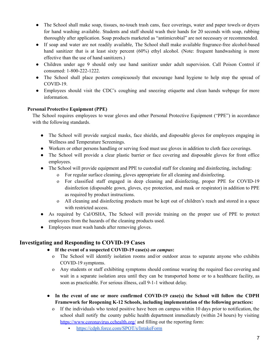- The School shall make soap, tissues, no-touch trash cans, face coverings, water and paper towels or dryers for hand washing available. Students and staff should wash their hands for 20 seconds with soap, rubbing thoroughly after application. Soap products marketed as "antimicrobial" are not necessary or recommended.
- If soap and water are not readily available, The School shall make available fragrance-free alcohol-based hand sanitizer that is at least sixty percent (60%) ethyl alcohol. (Note: frequent handwashing is more effective than the use of hand sanitizers.)
- Children under age 9 should only use hand sanitizer under adult supervision. Call Poison Control if consumed: 1-800-222-1222.
- The School shall place posters conspicuously that encourage hand hygiene to help stop the spread of COVID-19.
- Employees should visit the CDC's coughing and sneezing etiquette and clean hands webpage for more information.

#### **Personal Protective Equipment (PPE)**

The School requires employees to wear gloves and other Personal Protective Equipment ("PPE") in accordance with the following standards.

- The School will provide surgical masks, face shields, and disposable gloves for employees engaging in Wellness and Temperature Screenings.
- Workers or other persons handling or serving food must use gloves in addition to cloth face coverings.
- The School will provide a clear plastic barrier or face covering and disposable gloves for front office employees.
- The School will provide equipment and PPE to custodial staff for cleaning and disinfecting, including:
	- o For regular surface cleaning, gloves appropriate for all cleaning and disinfecting.
	- o For classified staff engaged in deep cleaning and disinfecting, proper PPE for COVID-19 disinfection (disposable gown, gloves, eye protection, and mask or respirator) in addition to PPE as required by product instructions.
	- o All cleaning and disinfecting products must be kept out of children's reach and stored in a space with restricted access.
- As required by Cal/OSHA, The School will provide training on the proper use of PPE to protect employees from the hazards of the cleaning products used.
- Employees must wash hands after removing gloves.

## **Investigating and Responding to COVID-19 Cases**

- **● If the event of a suspected COVID-19 case(s)** *on campus***:**
	- o The School will identify isolation rooms and/or outdoor areas to separate anyone who exhibits COVID-19 symptoms.
	- o Any students or staff exhibiting symptoms should continue wearing the required face covering and wait in a separate isolation area until they can be transported home or to a healthcare facility, as soon as practicable. For serious illness, call 9-1-1 without delay.
- **● In the event of one or more confirmed COVID-19 case(s) the School will follow the CDPH Framework for Reopening K-12 Schools, including implementation of the following practices:**
	- o If the individuals who tested positive have been on campus within 10 days prior to notification, the school shall notify the county public health department immediately (within 24 hours) by visiting <https://www.coronavirus.cchealth.org/> and filling out the reporting form:
		- <https://cdph.force.com/SPOT/s/IntakeForm>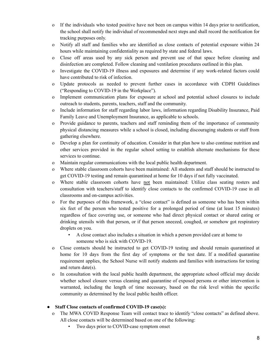- o If the individuals who tested positive have not been on campus within 14 days prior to notification, the school shall notify the individual of recommended next steps and shall record the notification for tracking purposes only.
- o Notify all staff and families who are identified as close contacts of potential exposure within 24 hours while maintaining confidentiality as required by state and federal laws.
- o Close off areas used by any sick person and prevent use of that space before cleaning and disinfection are completed. Follow cleaning and ventilation procedures outlined in this plan.
- o Investigate the COVID-19 illness and exposures and determine if any work-related factors could have contributed to risk of infection.
- o Update protocols as needed to prevent further cases in accordance with CDPH Guidelines ("Responding to COVID-19 in the Workplace").
- o Implement communication plans for exposure at school and potential school closures to include outreach to students, parents, teachers, staff and the community.
- o Include information for staff regarding labor laws, information regarding Disability Insurance, Paid Family Leave and Unemployment Insurance, as applicable to schools.
- o Provide guidance to parents, teachers and staff reminding them of the importance of community physical distancing measures while a school is closed, including discouraging students or staff from gathering elsewhere.
- o Develop a plan for continuity of education. Consider in that plan how to also continue nutrition and other services provided in the regular school setting to establish alternate mechanisms for these services to continue.
- o Maintain regular communications with the local public health department.
- Where stable classroom cohorts have been maintained: All students and staff should be instructed to get COVID-19 testing and remain quarantined at home for 10 days if not fully vaccinated.
- o Where stable classroom cohorts have not been maintained: Utilize class seating rosters and consultation with teachers/staff to identify close contacts to the confirmed COVID-19 case in all classrooms and on-campus activities.
- o For the purposes of this framework, a "close contact" is defined as someone who has been within six feet of the person who tested positive for a prolonged period of time (at least 15 minutes) regardless of face covering use, or someone who had direct physical contact or shared eating or drinking utensils with that person, or if that person sneezed, coughed, or somehow got respiratory droplets on you.
	- A close contact also includes a situation in which a person provided care at home to someone who is sick with COVID-19.
- o Close contacts should be instructed to get COVID-19 testing and should remain quarantined at home for 10 days from the first day of symptoms or the test date. If a modified quarantine requirement applies, the School Nurse will notify students and families with instructions for testing and return date(s).
- o In consultation with the local public health department, the appropriate school official may decide whether school closure versus cleaning and quarantine of exposed persons or other intervention is warranted, including the length of time necessary, based on the risk level within the specific community as determined by the local public health officer.

#### **● Staff Close contacts of confirmed COVID-19 case(s):**

- o The MWA COVID Response Team will contact trace to identify "close contacts" as defined above. All close contacts will be determined based on one of the following:
	- Two days prior to COVID-case symptom onset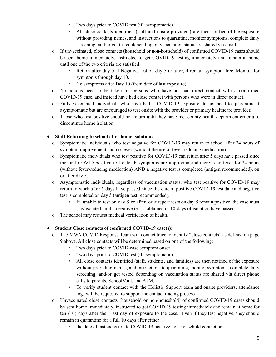- Two days prior to COVID test (if asymptomatic)
- All close contacts identified (staff and onsite providers) are then notified of the exposure without providing names, and instructions to quarantine, monitor symptoms, complete daily screening, and/or get tested depending on vaccination status are shared via email
- o If unvaccinated, close contacts (household or non-household) of confirmed COVID-19 cases should be sent home immediately, instructed to get COVID-19 testing immediately and remain at home until one of the two criteria are satisfied:
	- Return after day 5 if Negative test on day 5 or after, if remain symptom free. Monitor for symptoms through day 10.
	- No symptoms after Day 10 (from date of last exposure).
- o No actions need to be taken for persons who have not had direct contact with a confirmed COVID-19 case, and instead have had close contact with persons who were in direct contact.
- o Fully vaccinated individuals who have had a COVID-19 exposure do not need to quarantine if asymptomatic but are encouraged to test onsite with the provider or primary healthcare provider.
- o Those who test positive should not return until they have met county health department criteria to discontinue home isolation.

#### **● Staff Returning to school after home isolation:**

- o Symptomatic individuals who test negative for COVID-19 may return to school after 24 hours of symptom improvement and no fever (without the use of fever-reducing medication).
- o Symptomatic individuals who test positive for COVID-19 can return after 5 days have passed since the first COVID positive test date IF symptoms are improving and there is no fever for 24 hours (without fever-reducing medication) AND a negative test is completed (antigen recommended), on or after day 5.
- o Asymptomatic individuals, regardless of vaccination status, who test positive for COVID-19 may return to work after 5 days have passed since the date of positive COVID-19 test date and negative test is completed on day 5 (antigen test recommended).
	- If unable to test on day 5 or after, or if repeat tests on day 5 remain positive, the case must stay isolated until a negative test is obtained or 10-days of isolation have passed.
- o The school may request medical verification of health.

#### **● Student Close contacts of confirmed COVID-19 case(s):**

- o The MWA COVID Response Team will contact trace to identify "close contacts" as defined on page 9 above. All close contacts will be determined based on one of the following:
	- Two days prior to COVID-case symptom onset
	- Two days prior to COVID test (if asymptomatic)
	- All close contacts identified (staff, students, and families) are then notified of the exposure without providing names, and instructions to quarantine, monitor symptoms, complete daily screening, and/or get tested depending on vaccination status are shared via direct phone calls to parents, SchoolMint, and ATM.
	- To verify student contact with the Holistic Support team and onsite providers, attendance logs will be requested to support the contact tracing process
- o Unvaccinated close contacts (household or non-household) of confirmed COVID-19 cases should be sent home immediately, instructed to get COVID-19 testing immediately and remain at home for ten (10) days after their last day of exposure to the case. Even if they test negative, they should remain in quarantine for a full 10 days after either
	- the date of last exposure to COVID-19 positive non-household contact or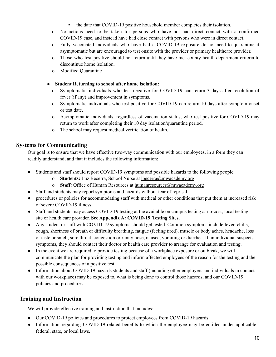- the date that COVID-19 positive household member completes their isolation.
- o No actions need to be taken for persons who have not had direct contact with a confirmed COVID-19 case, and instead have had close contact with persons who were in direct contact.
- o Fully vaccinated individuals who have had a COVID-19 exposure do not need to quarantine if asymptomatic but are encouraged to test onsite with the provider or primary healthcare provider.
- o Those who test positive should not return until they have met county health department criteria to discontinue home isolation.
- o Modified Quarantine

#### **● Student Returning to school after home isolation:**

- o Symptomatic individuals who test negative for COVID-19 can return 3 days after resolution of fever (if any) and improvement in symptoms.
- o Symptomatic individuals who test positive for COVID-19 can return 10 days after symptom onset or test date.
- o Asymptomatic individuals, regardless of vaccination status, who test positive for COVID-19 may return to work after completing their 10 day isolation/quarantine period.
- o The school may request medical verification of health.

## **Systems for Communicating**

Our goal is to ensure that we have effective two-way communication with our employees, in a form they can readily understand, and that it includes the following information:

- **●** Students and staff should report COVID-19 symptoms and possible hazards to the following people:
	- o **Students:** Luz Becerra, School Nurse at [lbecerra@mwacademy.org](mailto:lbecerra@mwacademy.org)
	- o **Staff:** Office of Human Resources at [humanresources@mwacademy.org](mailto:humanresources@mwacademy.org)
- Staff and students may report symptoms and hazards without fear of reprisal.
- procedures or policies for accommodating staff with medical or other conditions that put them at increased risk of severe COVID-19 illness.
- **●** Staff and students may access COVID-19 testing at the available on campus testing at no-cost, local testing site or health care provider. **See Appendix A: COVID-19 Testing Sites.**
- Any student or staff with COVID-19 symptoms should get tested. Common symptoms include fever, chills, cough, shortness of breath or difficulty breathing, fatigue (feeling tired), muscle or body aches, headache, loss of taste or smell, sore throat, congestion or runny nose, nausea, vomiting or diarrhea. If an individual suspects symptoms, they should contact their doctor or health care provider to arrange for evaluation and testing.
- **●** In the event we are required to provide testing because of a workplace exposure or outbreak, we will communicate the plan for providing testing and inform affected employees of the reason for the testing and the possible consequences of a positive test.
- **●** Information about COVID-19 hazards students and staff (including other employers and individuals in contact with our workplace) may be exposed to, what is being done to control those hazards, and our COVID-19 policies and procedures.

## **Training and Instruction**

We will provide effective training and instruction that includes:

- Our COVID-19 policies and procedures to protect employees from COVID-19 hazards.
- Information regarding COVID-19-related benefits to which the employee may be entitled under applicable federal, state, or local laws.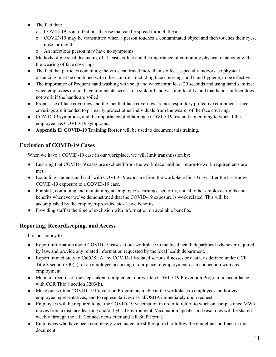- The fact that:
	- o COVID-19 is an infectious disease that can be spread through the air.
	- o COVID-19 may be transmitted when a person touches a contaminated object and then touches their eyes, nose, or mouth.
	- o An infectious person may have no symptoms.
- Methods of physical distancing of at least six feet and the importance of combining physical distancing with the wearing of face coverings.
- The fact that particles containing the virus can travel more than six feet, especially indoors, so physical distancing must be combined with other controls, including face coverings and hand hygiene, to be effective.
- The importance of frequent hand washing with soap and water for at least 20 seconds and using hand sanitizer when employees do not have immediate access to a sink or hand washing facility, and that hand sanitizer does not work if the hands are soiled.
- Proper use of face coverings and the fact that face coverings are not respiratory protective equipment face coverings are intended to primarily protect other individuals from the wearer of the face covering.
- COVID-19 symptoms, and the importance of obtaining a COVID-19 test and not coming to work if the employee has COVID-19 symptoms.
- **Appendix E: COVID-19 Training Roster** will be used to document this training.

## **Exclusion of COVID-19 Cases**

When we have a COVID-19 case in our workplace, we will limit transmission by:

- Ensuring that COVID-19 cases are excluded from the workplace until our return-to-work requirements are met.
- Excluding students and staff with COVID-19 exposure from the workplace for 10 days after the last known COVID-19 exposure to a COVID-19 case.
- **●** For staff, continuing and maintaining an employee's earnings, seniority, and all other employee rights and benefits whenever we've demonstrated that the COVID-19 exposure is work related. This will be accomplished by the employer-provided sick leave benefits.
- Providing staff at the time of exclusion with information on available benefits.

## **Reporting, Recordkeeping, and Access**

It is our policy to:

- Report information about COVID-19 cases at our workplace to the local health department whenever required by law, and provide any related information requested by the local health department.
- Report immediately to Cal/OSHA any COVID-19-related serious illnesses or death, as defined under CCR Title 8 section 330(h), of an employee occurring in our place of employment or in connection with any employment.
- Maintain records of the steps taken to implement our written COVID-19 Prevention Program in accordance with CCR Title 8 section 3203(b).
- Make our written COVID-19 Prevention Program available at the workplace to employees, authorized employee representatives, and to representatives of Cal/OSHA immediately upon request.
- Employees will be required to get the COVID-19 vaccination in order to return to work on campus once MWA moves from a distance learning and/or hybrid environment. Vaccination updates and resources will be shared weekly through the HR Connect newsletter and HR Staff Portal.
- Employees who have been completely vaccinated are still required to follow the guidelines outlined in this document.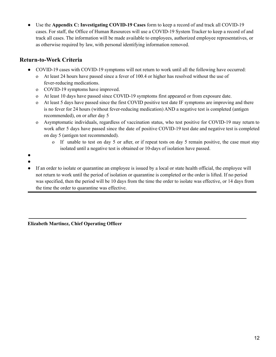Use the **Appendix C:** Investigating **COVID-19** Cases form to keep a record of and track all COVID-19 cases. For staff, the Office of Human Resources will use a COVID-19 System Tracker to keep a record of and track all cases. The information will be made available to employees, authorized employee representatives, or as otherwise required by law, with personal identifying information removed.

## **Return-to-Work Criteria**

- COVID-19 cases with COVID-19 symptoms will not return to work until all the following have occurred:
	- o At least 24 hours have passed since a fever of 100.4 or higher has resolved without the use of fever-reducing medications.
	- o COVID-19 symptoms have improved.
	- o At least 10 days have passed since COVID-19 symptoms first appeared or from exposure date.
	- o At least 5 days have passed since the first COVID positive test date IF symptoms are improving and there is no fever for 24 hours (without fever-reducing medication) AND a negative test is completed (antigen recommended), on or after day 5
	- o Asymptomatic individuals, regardless of vaccination status, who test positive for COVID-19 may return to work after 5 days have passed since the date of positive COVID-19 test date and negative test is completed on day 5 (antigen test recommended).
		- o If unable to test on day 5 or after, or if repeat tests on day 5 remain positive, the case must stay isolated until a negative test is obtained or 10-days of isolation have passed.
- ●
- ●
- If an order to isolate or quarantine an employee is issued by a local or state health official, the employee will not return to work until the period of isolation or quarantine is completed or the order is lifted. If no period was specified, then the period will be 10 days from the time the order to isolate was effective, or 14 days from the time the order to quarantine was effective.

**Elizabeth Martinez, Chief Operating Officer**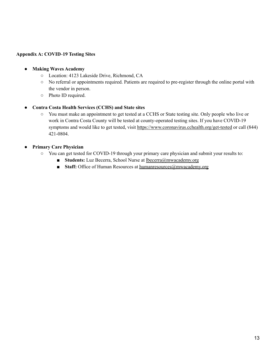#### **Appendix A: COVID**-**19 Testing Sites**

#### ● **Making Waves Academy**

- Location: 4123 Lakeside Drive, Richmond, CA
- No referral or appointments required. Patients are required to pre-register through the online portal with the vendor in person.
- Photo ID required.

#### **● Contra Costa Health Services (CCHS) and State sites**

**○** You must make an appointment to get tested at a CCHS or State testing site. Only people who live or work in Contra Costa County will be tested at county-operated testing sites. If you have COVID-19 symptoms and would like to get tested, visit <https://www.coronavirus.cchealth.org/get-tested> or call (844) 421-0804.

#### **● Primary Care Physician**

- **○** You can get tested for COVID-19 through your primary care physician and submit your results to:
	- **Students:** Luz Becerra, School Nurse at [lbecerra@mwacademy.org](mailto:lbecerra@mwacademy.org)
	- **Staff:** Office of Human Resources at [humanresources@mwacademy.org](mailto:humanresources@mwacademy.org)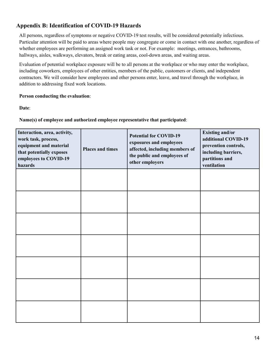## **Appendix B: Identification of COVID-19 Hazards**

All persons, regardless of symptoms or negative COVID-19 test results, will be considered potentially infectious. Particular attention will be paid to areas where people may congregate or come in contact with one another, regardless of whether employees are performing an assigned work task or not. For example: meetings, entrances, bathrooms, hallways, aisles, walkways, elevators, break or eating areas, cool-down areas, and waiting areas.

Evaluation of potential workplace exposure will be to all persons at the workplace or who may enter the workplace, including coworkers, employees of other entities, members of the public, customers or clients, and independent contractors. We will consider how employees and other persons enter, leave, and travel through the workplace, in addition to addressing fixed work locations.

#### **Person conducting the evaluation**:

**Date**:

**Name(s) of employee and authorized employee representative that participated**:

| Interaction, area, activity,<br>work task, process,<br>equipment and material<br>that potentially exposes<br>employees to COVID-19<br>hazards | <b>Places and times</b> | <b>Potential for COVID-19</b><br>exposures and employees<br>affected, including members of<br>the public and employees of<br>other employers | <b>Existing and/or</b><br>additional COVID-19<br>prevention controls,<br>including barriers,<br>partitions and<br>ventilation |
|-----------------------------------------------------------------------------------------------------------------------------------------------|-------------------------|----------------------------------------------------------------------------------------------------------------------------------------------|-------------------------------------------------------------------------------------------------------------------------------|
|                                                                                                                                               |                         |                                                                                                                                              |                                                                                                                               |
|                                                                                                                                               |                         |                                                                                                                                              |                                                                                                                               |
|                                                                                                                                               |                         |                                                                                                                                              |                                                                                                                               |
|                                                                                                                                               |                         |                                                                                                                                              |                                                                                                                               |
|                                                                                                                                               |                         |                                                                                                                                              |                                                                                                                               |
|                                                                                                                                               |                         |                                                                                                                                              |                                                                                                                               |
|                                                                                                                                               |                         |                                                                                                                                              |                                                                                                                               |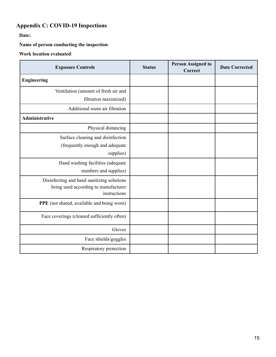# **Appendix C: COVID-19 Inspections**

**Date:**

**Name of person conducting the inspection**:

## **Work location evaluated**:

| <b>Exposure Controls</b>                                                                           | <b>Status</b> | <b>Person Assigned to</b><br><b>Correct</b> | <b>Date Corrected</b> |
|----------------------------------------------------------------------------------------------------|---------------|---------------------------------------------|-----------------------|
| <b>Engineering</b>                                                                                 |               |                                             |                       |
| Ventilation (amount of fresh air and<br>filtration maximized)                                      |               |                                             |                       |
| Additional room air filtration                                                                     |               |                                             |                       |
| <b>Administrative</b>                                                                              |               |                                             |                       |
| Physical distancing                                                                                |               |                                             |                       |
| Surface cleaning and disinfection<br>(frequently enough and adequate<br>supplies)                  |               |                                             |                       |
| Hand washing facilities (adequate<br>numbers and supplies)                                         |               |                                             |                       |
| Disinfecting and hand sanitizing solutions<br>being used according to manufacturer<br>instructions |               |                                             |                       |
| PPE (not shared, available and being worn)                                                         |               |                                             |                       |
| Face coverings (cleaned sufficiently often)                                                        |               |                                             |                       |
| Gloves                                                                                             |               |                                             |                       |
| Face shields/goggles                                                                               |               |                                             |                       |
| Respiratory protection                                                                             |               |                                             |                       |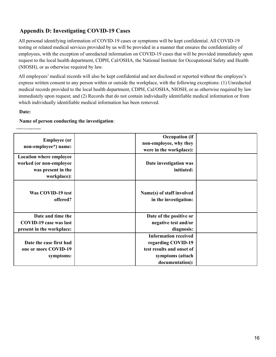## **Appendix D: Investigating COVID-19 Cases**

All personal identifying information of COVID-19 cases or symptoms will be kept confidential. All COVID-19 testing or related medical services provided by us will be provided in a manner that ensures the confidentiality of employees, with the exception of unredacted information on COVID-19 cases that will be provided immediately upon request to the local health department, CDPH, Cal/OSHA, the National Institute for Occupational Safety and Health (NIOSH), or as otherwise required by law.

All employees' medical records will also be kept confidential and not disclosed or reported without the employee's express written consent to any person within or outside the workplace, with the following exceptions: (1) Unredacted medical records provided to the local health department, CDPH, Cal/OSHA, NIOSH, or as otherwise required by law immediately upon request; and (2) Records that do not contain individually identifiable medical information or from which individually identifiable medical information has been removed.

#### **Date:**

#### **Name of person conducting the investigation**:

| <b>Employee (or</b><br>non-employee*) name:                                                    | <b>Occupation</b> (if<br>non-employee, why they<br>were in the workplace): |  |
|------------------------------------------------------------------------------------------------|----------------------------------------------------------------------------|--|
| <b>Location where employee</b><br>worked (or non-employee<br>was present in the<br>workplace): | Date investigation was<br>initiated:                                       |  |
| Was COVID-19 test<br>offered?                                                                  | Name(s) of staff involved<br>in the investigation:                         |  |
| Date and time the                                                                              | Date of the positive or                                                    |  |
| <b>COVID-19 case was last</b>                                                                  | negative test and/or                                                       |  |
| present in the workplace:                                                                      | diagnosis:                                                                 |  |
|                                                                                                | <b>Information received</b>                                                |  |
| Date the case first had                                                                        | regarding COVID-19                                                         |  |
| one or more COVID-19                                                                           | test results and onset of                                                  |  |
| symptoms:                                                                                      | symptoms (attach                                                           |  |
|                                                                                                | documentation):                                                            |  |

**COVID-19 Case Investigation Information**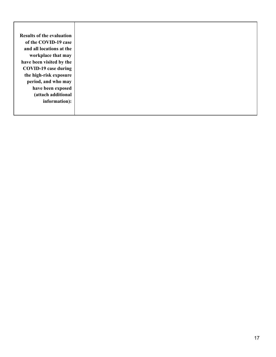| <b>Results of the evaluation</b> |
|----------------------------------|
| of the COVID-19 case             |
| and all locations at the         |
| workplace that may               |
| have been visited by the         |
| COVID-19 case during             |
| the high-risk exposure           |
| period, and who may              |
| have been exposed                |
| (attach additional               |
| information):                    |
|                                  |
|                                  |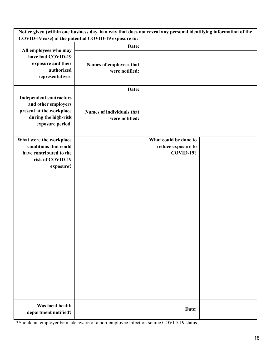| Notice given (within one business day, in a way that does not reveal any personal identifying information of the<br>COVID-19 case) of the potential COVID-19 exposure to: |                                             |                       |  |
|---------------------------------------------------------------------------------------------------------------------------------------------------------------------------|---------------------------------------------|-----------------------|--|
|                                                                                                                                                                           | Date:                                       |                       |  |
| All employees who may<br>have had COVID-19<br>exposure and their<br>authorized<br>representatives.                                                                        | Names of employees that<br>were notified:   |                       |  |
|                                                                                                                                                                           | Date:                                       |                       |  |
| <b>Independent contractors</b><br>and other employers<br>present at the workplace<br>during the high-risk<br>exposure period.                                             | Names of individuals that<br>were notified: |                       |  |
| What were the workplace                                                                                                                                                   |                                             | What could be done to |  |
| conditions that could                                                                                                                                                     |                                             | reduce exposure to    |  |
| have contributed to the                                                                                                                                                   |                                             | <b>COVID-19?</b>      |  |
| risk of COVID-19<br>exposure?                                                                                                                                             |                                             |                       |  |
|                                                                                                                                                                           |                                             |                       |  |
| Was local health<br>department notified?                                                                                                                                  |                                             | Date:                 |  |

\*Should an employer be made aware of a non-employee infection source COVID-19 status.